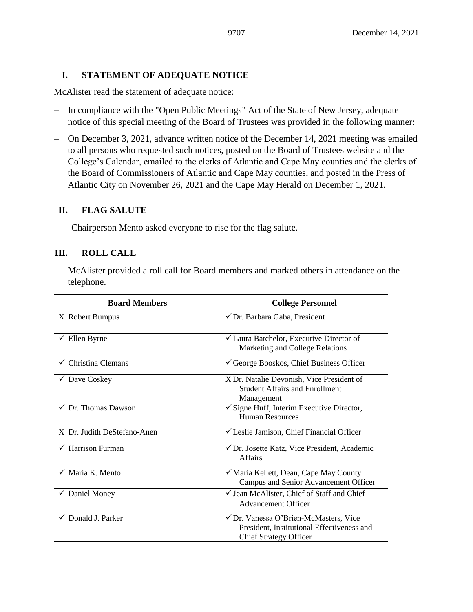# **I. STATEMENT OF ADEQUATE NOTICE**

McAlister read the statement of adequate notice:

- − In compliance with the "Open Public Meetings" Act of the State of New Jersey, adequate notice of this special meeting of the Board of Trustees was provided in the following manner:
- − On December 3, 2021, advance written notice of the December 14, 2021 meeting was emailed to all persons who requested such notices, posted on the Board of Trustees website and the College's Calendar, emailed to the clerks of Atlantic and Cape May counties and the clerks of the Board of Commissioners of Atlantic and Cape May counties, and posted in the Press of Atlantic City on November 26, 2021 and the Cape May Herald on December 1, 2021.

# **II. FLAG SALUTE**

− Chairperson Mento asked everyone to rise for the flag salute.

# **III. ROLL CALL**

− McAlister provided a roll call for Board members and marked others in attendance on the telephone.

| <b>Board Members</b>           | <b>College Personnel</b>                                                                                             |
|--------------------------------|----------------------------------------------------------------------------------------------------------------------|
| X Robert Bumpus                | √ Dr. Barbara Gaba, President                                                                                        |
| $\checkmark$ Ellen Byrne       | <del></del> <del>∠</del> Laura Batchelor, Executive Director of<br>Marketing and College Relations                   |
| $\checkmark$ Christina Clemans | $\checkmark$ George Booskos, Chief Business Officer                                                                  |
| $\checkmark$ Dave Coskey       | X Dr. Natalie Devonish, Vice President of<br><b>Student Affairs and Enrollment</b><br>Management                     |
| $\checkmark$ Dr. Thomas Dawson | $\checkmark$ Signe Huff, Interim Executive Director,<br><b>Human Resources</b>                                       |
| X Dr. Judith DeStefano-Anen    | $\checkmark$ Leslie Jamison, Chief Financial Officer                                                                 |
| $\checkmark$ Harrison Furman   | ✔ Dr. Josette Katz, Vice President, Academic<br><b>Affairs</b>                                                       |
| $\checkmark$ Maria K. Mento    | √ Maria Kellett, Dean, Cape May County<br>Campus and Senior Advancement Officer                                      |
| $\checkmark$ Daniel Money      | ✓ Jean McAlister, Chief of Staff and Chief<br><b>Advancement Officer</b>                                             |
| $\checkmark$ Donald J. Parker  | √ Dr. Vanessa O'Brien-McMasters, Vice<br>President, Institutional Effectiveness and<br><b>Chief Strategy Officer</b> |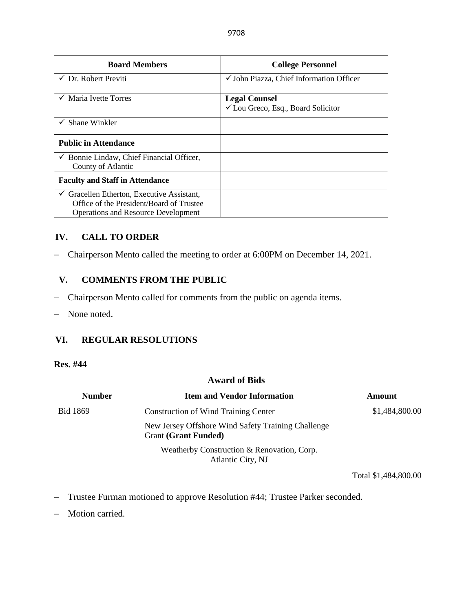| <b>Board Members</b>                                          | <b>College Personnel</b>                            |
|---------------------------------------------------------------|-----------------------------------------------------|
| Dr. Robert Previti                                            | $\checkmark$ John Piazza, Chief Information Officer |
| Maria Ivette Torres                                           | <b>Legal Counsel</b>                                |
|                                                               | ✔ Lou Greco, Esq., Board Solicitor                  |
| $\checkmark$ Shane Winkler                                    |                                                     |
| <b>Public in Attendance</b>                                   |                                                     |
| Bonnie Lindaw, Chief Financial Officer,<br>County of Atlantic |                                                     |
| <b>Faculty and Staff in Attendance</b>                        |                                                     |
| Gracellen Etherton, Executive Assistant,                      |                                                     |
| Office of the President/Board of Trustee                      |                                                     |
| <b>Operations and Resource Development</b>                    |                                                     |

# **IV. CALL TO ORDER**

− Chairperson Mento called the meeting to order at 6:00PM on December 14, 2021.

# **V. COMMENTS FROM THE PUBLIC**

- − Chairperson Mento called for comments from the public on agenda items.
- − None noted.

# **VI. REGULAR RESOLUTIONS**

#### **Res. #44**

| <b>Award of Bids</b> |                                                                                   |                |  |  |
|----------------------|-----------------------------------------------------------------------------------|----------------|--|--|
| <b>Number</b>        | <b>Item and Vendor Information</b>                                                | Amount         |  |  |
| Bid 1869             | <b>Construction of Wind Training Center</b>                                       | \$1,484,800.00 |  |  |
|                      | New Jersey Offshore Wind Safety Training Challenge<br><b>Grant (Grant Funded)</b> |                |  |  |
|                      | Weatherby Construction & Renovation, Corp.<br>Atlantic City, NJ                   |                |  |  |

Total \$1,484,800.00

- − Trustee Furman motioned to approve Resolution #44; Trustee Parker seconded.
- − Motion carried.